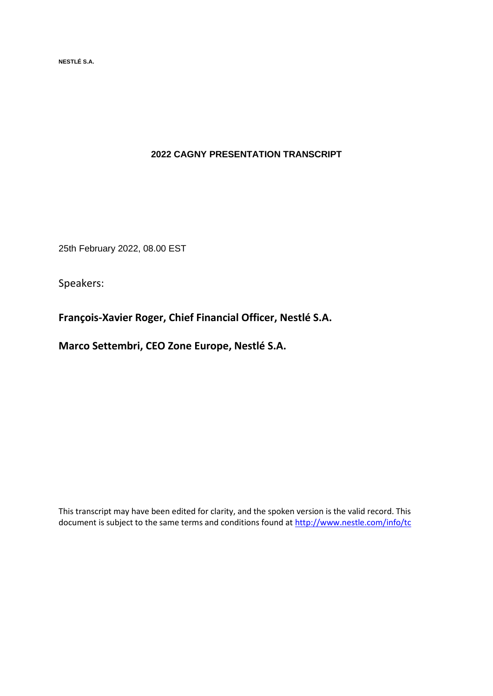**NESTLÉ S.A.** 

# **2022 CAGNY PRESENTATION TRANSCRIPT**

25th February 2022, 08.00 EST

Speakers:

**François-Xavier Roger, Chief Financial Officer, Nestlé S.A.**

**Marco Settembri, CEO Zone Europe, Nestlé S.A.**

This transcript may have been edited for clarity, and the spoken version is the valid record. This document is subject to the same terms and conditions found at<http://www.nestle.com/info/tc>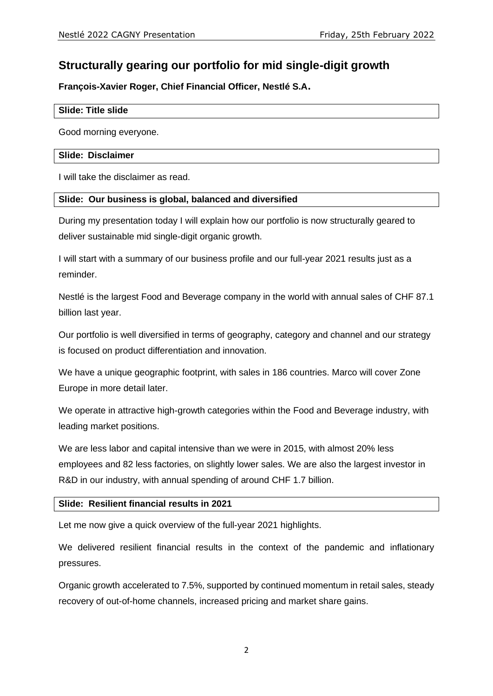# **Structurally gearing our portfolio for mid single-digit growth**

**François-Xavier Roger, Chief Financial Officer, Nestlé S.A.**

#### **Slide: Title slide**

Good morning everyone.

#### **Slide: Disclaimer**

I will take the disclaimer as read.

# **Slide: Our business is global, balanced and diversified**

During my presentation today I will explain how our portfolio is now structurally geared to deliver sustainable mid single-digit organic growth.

I will start with a summary of our business profile and our full-year 2021 results just as a reminder.

Nestlé is the largest Food and Beverage company in the world with annual sales of CHF 87.1 billion last year.

Our portfolio is well diversified in terms of geography, category and channel and our strategy is focused on product differentiation and innovation.

We have a unique geographic footprint, with sales in 186 countries. Marco will cover Zone Europe in more detail later.

We operate in attractive high-growth categories within the Food and Beverage industry, with leading market positions.

We are less labor and capital intensive than we were in 2015, with almost 20% less employees and 82 less factories, on slightly lower sales. We are also the largest investor in R&D in our industry, with annual spending of around CHF 1.7 billion.

# **Slide: Resilient financial results in 2021**

Let me now give a quick overview of the full-year 2021 highlights.

We delivered resilient financial results in the context of the pandemic and inflationary pressures.

Organic growth accelerated to 7.5%, supported by continued momentum in retail sales, steady recovery of out-of-home channels, increased pricing and market share gains.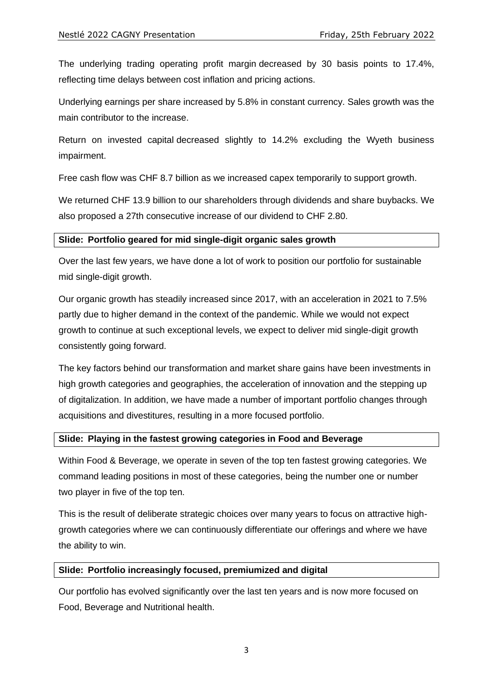The underlying trading operating profit margin decreased by 30 basis points to 17.4%, reflecting time delays between cost inflation and pricing actions.

Underlying earnings per share increased by 5.8% in constant currency. Sales growth was the main contributor to the increase.

Return on invested capital decreased slightly to 14.2% excluding the Wyeth business impairment.

Free cash flow was CHF 8.7 billion as we increased capex temporarily to support growth.

We returned CHF 13.9 billion to our shareholders through dividends and share buybacks. We also proposed a 27th consecutive increase of our dividend to CHF 2.80.

# **Slide: Portfolio geared for mid single-digit organic sales growth**

Over the last few years, we have done a lot of work to position our portfolio for sustainable mid single-digit growth.

Our organic growth has steadily increased since 2017, with an acceleration in 2021 to 7.5% partly due to higher demand in the context of the pandemic. While we would not expect growth to continue at such exceptional levels, we expect to deliver mid single-digit growth consistently going forward.

The key factors behind our transformation and market share gains have been investments in high growth categories and geographies, the acceleration of innovation and the stepping up of digitalization. In addition, we have made a number of important portfolio changes through acquisitions and divestitures, resulting in a more focused portfolio.

# **Slide: Playing in the fastest growing categories in Food and Beverage**

Within Food & Beverage, we operate in seven of the top ten fastest growing categories. We command leading positions in most of these categories, being the number one or number two player in five of the top ten.

This is the result of deliberate strategic choices over many years to focus on attractive highgrowth categories where we can continuously differentiate our offerings and where we have the ability to win.

# **Slide: Portfolio increasingly focused, premiumized and digital**

Our portfolio has evolved significantly over the last ten years and is now more focused on Food, Beverage and Nutritional health.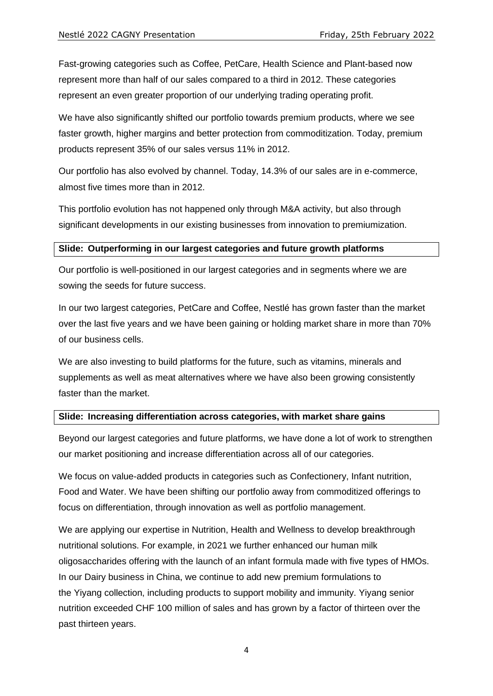Fast-growing categories such as Coffee, PetCare, Health Science and Plant-based now represent more than half of our sales compared to a third in 2012. These categories represent an even greater proportion of our underlying trading operating profit.

We have also significantly shifted our portfolio towards premium products, where we see faster growth, higher margins and better protection from commoditization. Today, premium products represent 35% of our sales versus 11% in 2012.

Our portfolio has also evolved by channel. Today, 14.3% of our sales are in e-commerce, almost five times more than in 2012.

This portfolio evolution has not happened only through M&A activity, but also through significant developments in our existing businesses from innovation to premiumization.

# **Slide: Outperforming in our largest categories and future growth platforms**

Our portfolio is well-positioned in our largest categories and in segments where we are sowing the seeds for future success.

In our two largest categories, PetCare and Coffee, Nestlé has grown faster than the market over the last five years and we have been gaining or holding market share in more than 70% of our business cells.

We are also investing to build platforms for the future, such as vitamins, minerals and supplements as well as meat alternatives where we have also been growing consistently faster than the market.

# **Slide: Increasing differentiation across categories, with market share gains**

Beyond our largest categories and future platforms, we have done a lot of work to strengthen our market positioning and increase differentiation across all of our categories.

We focus on value-added products in categories such as Confectionery, Infant nutrition, Food and Water. We have been shifting our portfolio away from commoditized offerings to focus on differentiation, through innovation as well as portfolio management.

We are applying our expertise in Nutrition, Health and Wellness to develop breakthrough nutritional solutions. For example, in 2021 we further enhanced our human milk oligosaccharides offering with the launch of an infant formula made with five types of HMOs. In our Dairy business in China, we continue to add new premium formulations to the Yiyang collection, including products to support mobility and immunity. Yiyang senior nutrition exceeded CHF 100 million of sales and has grown by a factor of thirteen over the past thirteen years.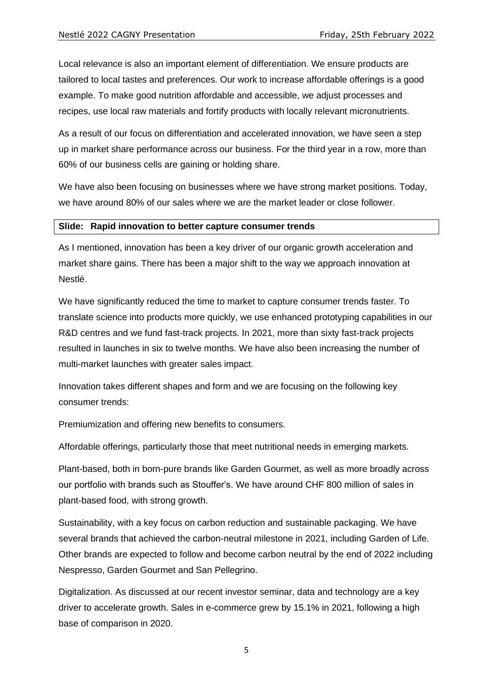Local relevance is also an important element of differentiation. We ensure products are tailored to local tastes and preferences. Our work to increase affordable offerings is a good example. To make good nutrition affordable and accessible, we adjust processes and recipes, use local raw materials and fortify products with locally relevant micronutrients.

As a result of our focus on differentiation and accelerated innovation, we have seen a step up in market share performance across our business. For the third year in a row, more than 60% of our business cells are gaining or holding share.

We have also been focusing on businesses where we have strong market positions. Today, we have around 80% of our sales where we are the market leader or close follower.

#### **Slide: Rapid innovation to better capture consumer trends**

As I mentioned, innovation has been a key driver of our organic growth acceleration and market share gains. There has been a major shift to the way we approach innovation at Nestlé.

We have significantly reduced the time to market to capture consumer trends faster. To translate science into products more quickly, we use enhanced prototyping capabilities in our R&D centres and we fund fast-track projects. In 2021, more than sixty fast-track projects resulted in launches in six to twelve months. We have also been increasing the number of multi-market launches with greater sales impact.

Innovation takes different shapes and form and we are focusing on the following key consumer trends:

Premiumization and offering new benefits to consumers.

Affordable offerings, particularly those that meet nutritional needs in emerging markets.

Plant-based, both in born-pure brands like Garden Gourmet, as well as more broadly across our portfolio with brands such as Stouffer's. We have around CHF 800 million of sales in plant-based food, with strong growth.

Sustainability, with a key focus on carbon reduction and sustainable packaging. We have several brands that achieved the carbon-neutral milestone in 2021, including Garden of Life. Other brands are expected to follow and become carbon neutral by the end of 2022 including Nespresso, Garden Gourmet and San Pellegrino.

Digitalization. As discussed at our recent investor seminar, data and technology are a key driver to accelerate growth. Sales in e-commerce grew by 15.1% in 2021, following a high base of comparison in 2020.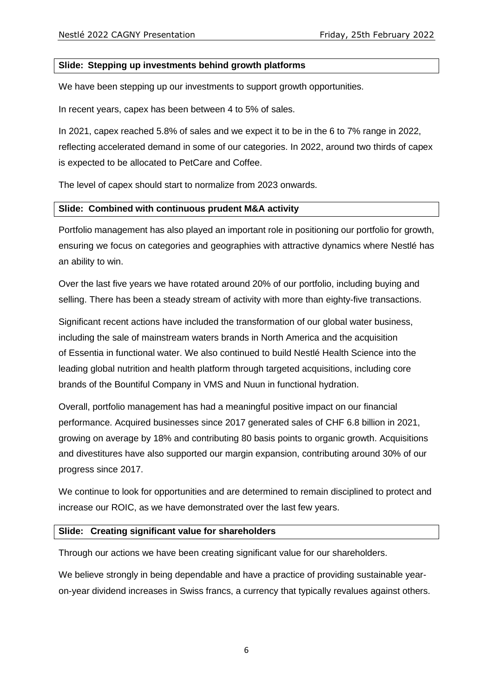# **Slide: Stepping up investments behind growth platforms**

We have been stepping up our investments to support growth opportunities.

In recent years, capex has been between 4 to 5% of sales.

In 2021, capex reached 5.8% of sales and we expect it to be in the 6 to 7% range in 2022, reflecting accelerated demand in some of our categories. In 2022, around two thirds of capex is expected to be allocated to PetCare and Coffee.

The level of capex should start to normalize from 2023 onwards.

#### **Slide: Combined with continuous prudent M&A activity**

Portfolio management has also played an important role in positioning our portfolio for growth, ensuring we focus on categories and geographies with attractive dynamics where Nestlé has an ability to win.

Over the last five years we have rotated around 20% of our portfolio, including buying and selling. There has been a steady stream of activity with more than eighty-five transactions.

Significant recent actions have included the transformation of our global water business, including the sale of mainstream waters brands in North America and the acquisition of Essentia in functional water. We also continued to build Nestlé Health Science into the leading global nutrition and health platform through targeted acquisitions, including core brands of the Bountiful Company in VMS and Nuun in functional hydration.

Overall, portfolio management has had a meaningful positive impact on our financial performance. Acquired businesses since 2017 generated sales of CHF 6.8 billion in 2021, growing on average by 18% and contributing 80 basis points to organic growth. Acquisitions and divestitures have also supported our margin expansion, contributing around 30% of our progress since 2017.

We continue to look for opportunities and are determined to remain disciplined to protect and increase our ROIC, as we have demonstrated over the last few years.

#### **Slide: Creating significant value for shareholders**

Through our actions we have been creating significant value for our shareholders.

We believe strongly in being dependable and have a practice of providing sustainable yearon-year dividend increases in Swiss francs, a currency that typically revalues against others.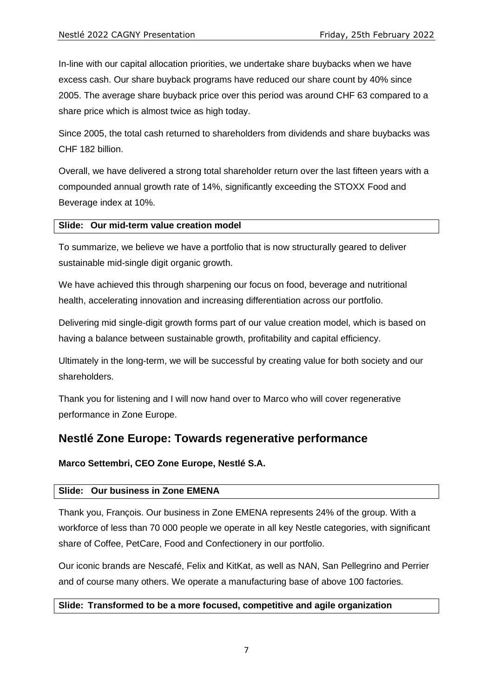In-line with our capital allocation priorities, we undertake share buybacks when we have excess cash. Our share buyback programs have reduced our share count by 40% since 2005. The average share buyback price over this period was around CHF 63 compared to a share price which is almost twice as high today.

Since 2005, the total cash returned to shareholders from dividends and share buybacks was CHF 182 billion.

Overall, we have delivered a strong total shareholder return over the last fifteen years with a compounded annual growth rate of 14%, significantly exceeding the STOXX Food and Beverage index at 10%.

#### **Slide: Our mid-term value creation model**

To summarize, we believe we have a portfolio that is now structurally geared to deliver sustainable mid-single digit organic growth.

We have achieved this through sharpening our focus on food, beverage and nutritional health, accelerating innovation and increasing differentiation across our portfolio.

Delivering mid single-digit growth forms part of our value creation model, which is based on having a balance between sustainable growth, profitability and capital efficiency.

Ultimately in the long-term, we will be successful by creating value for both society and our shareholders.

Thank you for listening and I will now hand over to Marco who will cover regenerative performance in Zone Europe.

# **Nestlé Zone Europe: Towards regenerative performance**

# **Marco Settembri, CEO Zone Europe, Nestlé S.A.**

# **Slide: Our business in Zone EMENA**

Thank you, François. Our business in Zone EMENA represents 24% of the group. With a workforce of less than 70 000 people we operate in all key Nestle categories, with significant share of Coffee, PetCare, Food and Confectionery in our portfolio.

Our iconic brands are Nescafé, Felix and KitKat, as well as NAN, San Pellegrino and Perrier and of course many others. We operate a manufacturing base of above 100 factories.

# **Slide: Transformed to be a more focused, competitive and agile organization**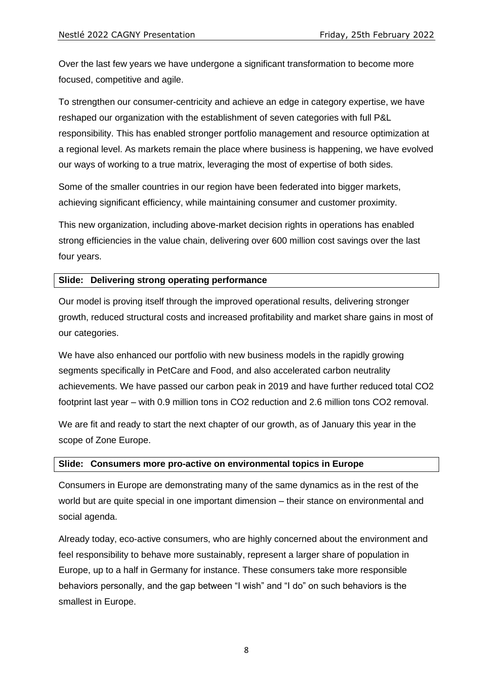Over the last few years we have undergone a significant transformation to become more focused, competitive and agile.

To strengthen our consumer-centricity and achieve an edge in category expertise, we have reshaped our organization with the establishment of seven categories with full P&L responsibility. This has enabled stronger portfolio management and resource optimization at a regional level. As markets remain the place where business is happening, we have evolved our ways of working to a true matrix, leveraging the most of expertise of both sides.

Some of the smaller countries in our region have been federated into bigger markets, achieving significant efficiency, while maintaining consumer and customer proximity.

This new organization, including above-market decision rights in operations has enabled strong efficiencies in the value chain, delivering over 600 million cost savings over the last four years.

# **Slide: Delivering strong operating performance**

Our model is proving itself through the improved operational results, delivering stronger growth, reduced structural costs and increased profitability and market share gains in most of our categories.

We have also enhanced our portfolio with new business models in the rapidly growing segments specifically in PetCare and Food, and also accelerated carbon neutrality achievements. We have passed our carbon peak in 2019 and have further reduced total CO2 footprint last year – with 0.9 million tons in CO2 reduction and 2.6 million tons CO2 removal.

We are fit and ready to start the next chapter of our growth, as of January this year in the scope of Zone Europe.

#### **Slide: Consumers more pro-active on environmental topics in Europe**

Consumers in Europe are demonstrating many of the same dynamics as in the rest of the world but are quite special in one important dimension – their stance on environmental and social agenda.

Already today, eco-active consumers, who are highly concerned about the environment and feel responsibility to behave more sustainably, represent a larger share of population in Europe, up to a half in Germany for instance. These consumers take more responsible behaviors personally, and the gap between "I wish" and "I do" on such behaviors is the smallest in Europe.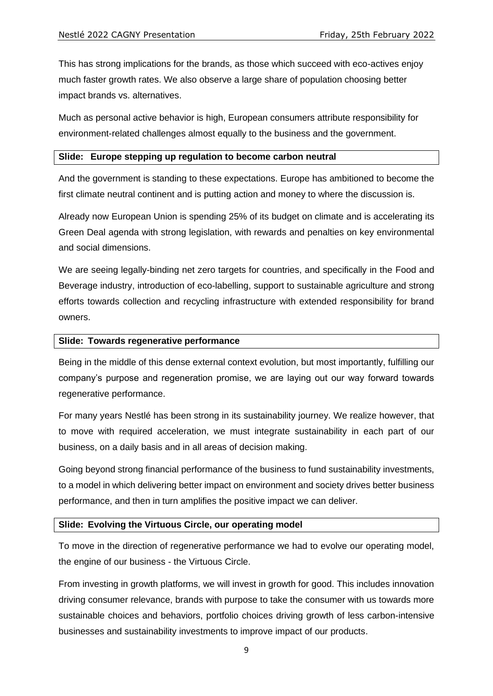This has strong implications for the brands, as those which succeed with eco-actives enjoy much faster growth rates. We also observe a large share of population choosing better impact brands vs. alternatives.

Much as personal active behavior is high, European consumers attribute responsibility for environment-related challenges almost equally to the business and the government.

#### **Slide: Europe stepping up regulation to become carbon neutral**

And the government is standing to these expectations. Europe has ambitioned to become the first climate neutral continent and is putting action and money to where the discussion is.

Already now European Union is spending 25% of its budget on climate and is accelerating its Green Deal agenda with strong legislation, with rewards and penalties on key environmental and social dimensions.

We are seeing legally-binding net zero targets for countries, and specifically in the Food and Beverage industry, introduction of eco-labelling, support to sustainable agriculture and strong efforts towards collection and recycling infrastructure with extended responsibility for brand owners.

#### **Slide: Towards regenerative performance**

Being in the middle of this dense external context evolution, but most importantly, fulfilling our company's purpose and regeneration promise, we are laying out our way forward towards regenerative performance.

For many years Nestlé has been strong in its sustainability journey. We realize however, that to move with required acceleration, we must integrate sustainability in each part of our business, on a daily basis and in all areas of decision making.

Going beyond strong financial performance of the business to fund sustainability investments, to a model in which delivering better impact on environment and society drives better business performance, and then in turn amplifies the positive impact we can deliver.

# **Slide: Evolving the Virtuous Circle, our operating model**

To move in the direction of regenerative performance we had to evolve our operating model, the engine of our business - the Virtuous Circle.

From investing in growth platforms, we will invest in growth for good. This includes innovation driving consumer relevance, brands with purpose to take the consumer with us towards more sustainable choices and behaviors, portfolio choices driving growth of less carbon-intensive businesses and sustainability investments to improve impact of our products.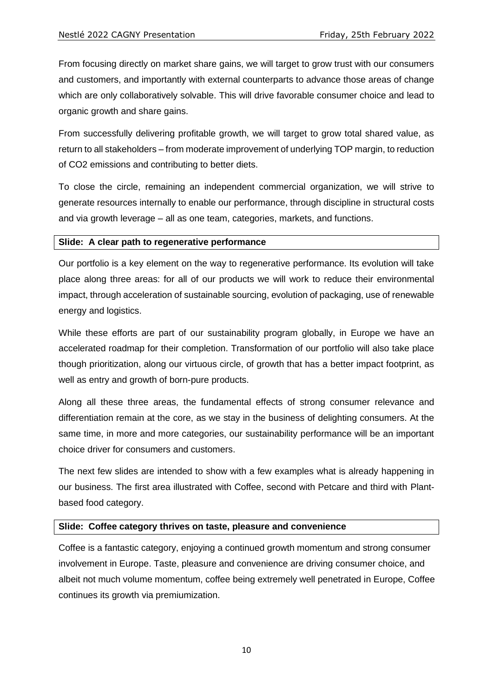From focusing directly on market share gains, we will target to grow trust with our consumers and customers, and importantly with external counterparts to advance those areas of change which are only collaboratively solvable. This will drive favorable consumer choice and lead to organic growth and share gains.

From successfully delivering profitable growth, we will target to grow total shared value, as return to all stakeholders – from moderate improvement of underlying TOP margin, to reduction of CO2 emissions and contributing to better diets.

To close the circle, remaining an independent commercial organization, we will strive to generate resources internally to enable our performance, through discipline in structural costs and via growth leverage – all as one team, categories, markets, and functions.

#### **Slide: A clear path to regenerative performance**

Our portfolio is a key element on the way to regenerative performance. Its evolution will take place along three areas: for all of our products we will work to reduce their environmental impact, through acceleration of sustainable sourcing, evolution of packaging, use of renewable energy and logistics.

While these efforts are part of our sustainability program globally, in Europe we have an accelerated roadmap for their completion. Transformation of our portfolio will also take place though prioritization, along our virtuous circle, of growth that has a better impact footprint, as well as entry and growth of born-pure products.

Along all these three areas, the fundamental effects of strong consumer relevance and differentiation remain at the core, as we stay in the business of delighting consumers. At the same time, in more and more categories, our sustainability performance will be an important choice driver for consumers and customers.

The next few slides are intended to show with a few examples what is already happening in our business. The first area illustrated with Coffee, second with Petcare and third with Plantbased food category.

# **Slide: Coffee category thrives on taste, pleasure and convenience**

Coffee is a fantastic category, enjoying a continued growth momentum and strong consumer involvement in Europe. Taste, pleasure and convenience are driving consumer choice, and albeit not much volume momentum, coffee being extremely well penetrated in Europe, Coffee continues its growth via premiumization.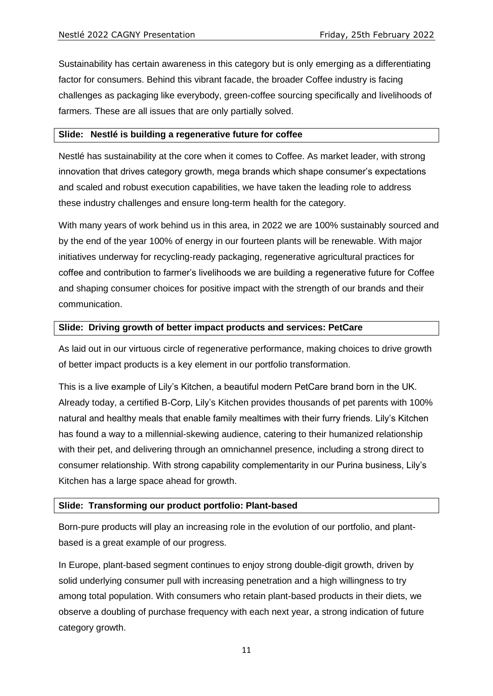Sustainability has certain awareness in this category but is only emerging as a differentiating factor for consumers. Behind this vibrant facade, the broader Coffee industry is facing challenges as packaging like everybody, green-coffee sourcing specifically and livelihoods of farmers. These are all issues that are only partially solved.

#### **Slide: Nestlé is building a regenerative future for coffee**

Nestlé has sustainability at the core when it comes to Coffee. As market leader, with strong innovation that drives category growth, mega brands which shape consumer's expectations and scaled and robust execution capabilities, we have taken the leading role to address these industry challenges and ensure long-term health for the category.

With many years of work behind us in this area, in 2022 we are 100% sustainably sourced and by the end of the year 100% of energy in our fourteen plants will be renewable. With major initiatives underway for recycling-ready packaging, regenerative agricultural practices for coffee and contribution to farmer's livelihoods we are building a regenerative future for Coffee and shaping consumer choices for positive impact with the strength of our brands and their communication.

#### **Slide: Driving growth of better impact products and services: PetCare**

As laid out in our virtuous circle of regenerative performance, making choices to drive growth of better impact products is a key element in our portfolio transformation.

This is a live example of Lily's Kitchen, a beautiful modern PetCare brand born in the UK. Already today, a certified B-Corp, Lily's Kitchen provides thousands of pet parents with 100% natural and healthy meals that enable family mealtimes with their furry friends. Lily's Kitchen has found a way to a millennial-skewing audience, catering to their humanized relationship with their pet, and delivering through an omnichannel presence, including a strong direct to consumer relationship. With strong capability complementarity in our Purina business, Lily's Kitchen has a large space ahead for growth.

# **Slide: Transforming our product portfolio: Plant-based**

Born-pure products will play an increasing role in the evolution of our portfolio, and plantbased is a great example of our progress.

In Europe, plant-based segment continues to enjoy strong double-digit growth, driven by solid underlying consumer pull with increasing penetration and a high willingness to try among total population. With consumers who retain plant-based products in their diets, we observe a doubling of purchase frequency with each next year, a strong indication of future category growth.